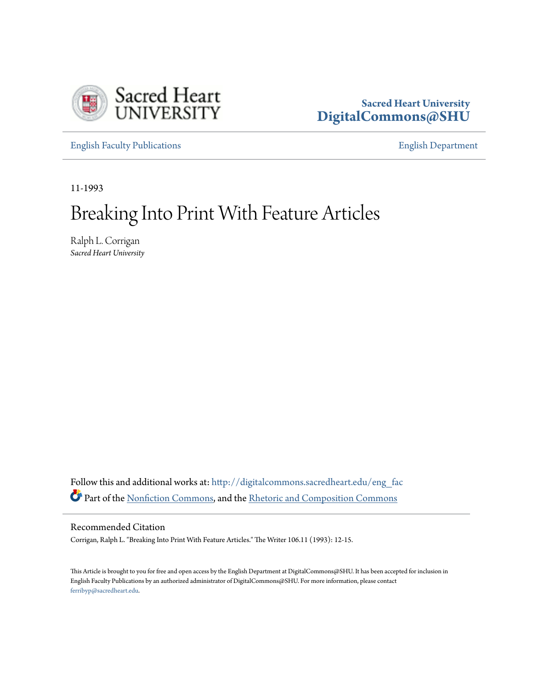

## **Sacred Heart University [DigitalCommons@SHU](http://digitalcommons.sacredheart.edu?utm_source=digitalcommons.sacredheart.edu%2Feng_fac%2F81&utm_medium=PDF&utm_campaign=PDFCoverPages)**

[English Faculty Publications](http://digitalcommons.sacredheart.edu/eng_fac?utm_source=digitalcommons.sacredheart.edu%2Feng_fac%2F81&utm_medium=PDF&utm_campaign=PDFCoverPages) [English Department](http://digitalcommons.sacredheart.edu/eng?utm_source=digitalcommons.sacredheart.edu%2Feng_fac%2F81&utm_medium=PDF&utm_campaign=PDFCoverPages)

11-1993

## Breaking Into Print With Feature Articles

Ralph L. Corrigan *Sacred Heart University*

Follow this and additional works at: [http://digitalcommons.sacredheart.edu/eng\\_fac](http://digitalcommons.sacredheart.edu/eng_fac?utm_source=digitalcommons.sacredheart.edu%2Feng_fac%2F81&utm_medium=PDF&utm_campaign=PDFCoverPages) Part of the [Nonfiction Commons](http://network.bepress.com/hgg/discipline/1152?utm_source=digitalcommons.sacredheart.edu%2Feng_fac%2F81&utm_medium=PDF&utm_campaign=PDFCoverPages), and the [Rhetoric and Composition Commons](http://network.bepress.com/hgg/discipline/573?utm_source=digitalcommons.sacredheart.edu%2Feng_fac%2F81&utm_medium=PDF&utm_campaign=PDFCoverPages)

Recommended Citation

Corrigan, Ralph L. "Breaking Into Print With Feature Articles." The Writer 106.11 (1993): 12-15.

This Article is brought to you for free and open access by the English Department at DigitalCommons@SHU. It has been accepted for inclusion in English Faculty Publications by an authorized administrator of DigitalCommons@SHU. For more information, please contact [ferribyp@sacredheart.edu](mailto:ferribyp@sacredheart.edu).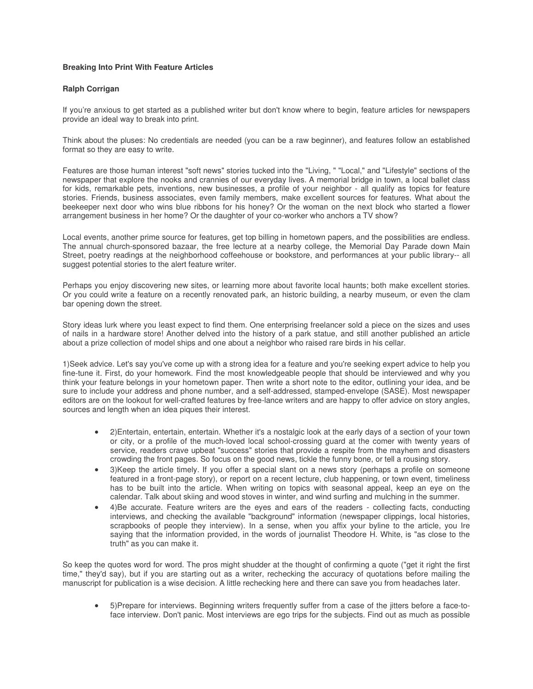## **Breaking Into Print With Feature Articles**

## **Ralph Corrigan**

If you're anxious to get started as a published writer but don't know where to begin, feature articles for newspapers provide an ideal way to break into print.

Think about the pluses: No credentials are needed (you can be a raw beginner), and features follow an established format so they are easy to write.

Features are those human interest "soft news" stories tucked into the "Living, " "Local," and "Lifestyle" sections of the newspaper that explore the nooks and crannies of our everyday lives. A memorial bridge in town, a local ballet class for kids, remarkable pets, inventions, new businesses, a profile of your neighbor - all qualify as topics for feature stories. Friends, business associates, even family members, make excellent sources for features. What about the beekeeper next door who wins blue ribbons for his honey? Or the woman on the next block who started a flower arrangement business in her home? Or the daughter of your co-worker who anchors a TV show?

Local events, another prime source for features, get top billing in hometown papers, and the possibilities are endless. The annual church-sponsored bazaar, the free lecture at a nearby college, the Memorial Day Parade down Main Street, poetry readings at the neighborhood coffeehouse or bookstore, and performances at your public library-- all suggest potential stories to the alert feature writer.

Perhaps you enjoy discovering new sites, or learning more about favorite local haunts; both make excellent stories. Or you could write a feature on a recently renovated park, an historic building, a nearby museum, or even the clam bar opening down the street.

Story ideas lurk where you least expect to find them. One enterprising freelancer sold a piece on the sizes and uses of nails in a hardware store! Another delved into the history of a park statue, and still another published an article about a prize collection of model ships and one about a neighbor who raised rare birds in his cellar.

1)Seek advice. Let's say you've come up with a strong idea for a feature and you're seeking expert advice to help you fine-tune it. First, do your homework. Find the most knowledgeable people that should be interviewed and why you think your feature belongs in your hometown paper. Then write a short note to the editor, outlining your idea, and be sure to include your address and phone number, and a self-addressed, stamped-envelope (SASE). Most newspaper editors are on the lookout for well-crafted features by free-lance writers and are happy to offer advice on story angles, sources and length when an idea piques their interest.

- 2)Entertain, entertain, entertain. Whether it's a nostalgic look at the early days of a section of your town or city, or a profile of the much-loved local school-crossing guard at the comer with twenty years of service, readers crave upbeat "success" stories that provide a respite from the mayhem and disasters crowding the front pages. So focus on the good news, tickle the funny bone, or tell a rousing story.
- 3)Keep the article timely. If you offer a special slant on a news story (perhaps a profile on someone featured in a front-page story), or report on a recent lecture, club happening, or town event, timeliness has to be built into the article. When writing on topics with seasonal appeal, keep an eye on the calendar. Talk about skiing and wood stoves in winter, and wind surfing and mulching in the summer.
- 4)Be accurate. Feature writers are the eyes and ears of the readers collecting facts, conducting interviews, and checking the available "background" information (newspaper clippings, local histories, scrapbooks of people they interview). In a sense, when you affix your byline to the article, you Ire saying that the information provided, in the words of journalist Theodore H. White, is "as close to the truth" as you can make it.

So keep the quotes word for word. The pros might shudder at the thought of confirming a quote ("get it right the first time," they'd say), but if you are starting out as a writer, rechecking the accuracy of quotations before mailing the manuscript for publication is a wise decision. A little rechecking here and there can save you from headaches later.

• 5)Prepare for interviews. Beginning writers frequently suffer from a case of the jitters before a face-toface interview. Don't panic. Most interviews are ego trips for the subjects. Find out as much as possible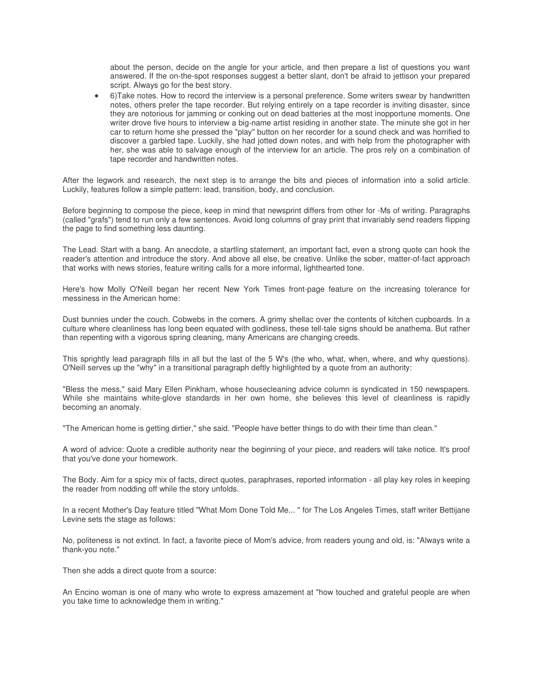about the person, decide on the angle for your article, and then prepare a list of questions you want answered. If the on-the-spot responses suggest a better slant, don't be afraid to jettison your prepared script. Always go for the best story.

• 6)Take notes. How to record the interview is a personal preference. Some writers swear by handwritten notes, others prefer the tape recorder. But relying entirely on a tape recorder is inviting disaster, since they are notorious for jamming or conking out on dead batteries at the most inopportune moments. One writer drove five hours to interview a big-name artist residing in another state. The minute she got in her car to return home she pressed the "play" button on her recorder for a sound check and was horrified to discover a garbled tape. Luckily, she had jotted down notes, and with help from the photographer with her, she was able to salvage enough of the interview for an article. The pros rely on a combination of tape recorder and handwritten notes.

After the legwork and research, the next step is to arrange the bits and pieces of information into a solid article. Luckily, features follow a simple pattern: lead, transition, body, and conclusion.

Before beginning to compose the piece, keep in mind that newsprint differs from other for -Ms of writing. Paragraphs (called "grafs") tend to run only a few sentences. Avoid long columns of gray print that invariably send readers flipping the page to find something less daunting.

The Lead. Start with a bang. An anecdote, a startling statement, an important fact, even a strong quote can hook the reader's attention and introduce the story. And above all else, be creative. Unlike the sober, matter-of-fact approach that works with news stories, feature writing calls for a more informal, lighthearted tone.

Here's how Molly O'Neill began her recent New York Times front-page feature on the increasing tolerance for messiness in the American home:

Dust bunnies under the couch. Cobwebs in the comers. A grimy shellac over the contents of kitchen cupboards. In a culture where cleanliness has long been equated with godliness, these tell-tale signs should be anathema. But rather than repenting with a vigorous spring cleaning, many Americans are changing creeds.

This sprightly lead paragraph fills in all but the last of the 5 W's (the who, what, when, where, and why questions). O'Neill serves up the "why" in a transitional paragraph deftly highlighted by a quote from an authority:

"Bless the mess," said Mary Ellen Pinkham, whose housecleaning advice column is syndicated in 150 newspapers. While she maintains white-glove standards in her own home, she believes this level of cleanliness is rapidly becoming an anomaly.

"The American home is getting dirtier," she said. "People have better things to do with their time than clean."

A word of advice: Quote a credible authority near the beginning of your piece, and readers will take notice. It's proof that you've done your homework.

The Body. Aim for a spicy mix of facts, direct quotes, paraphrases, reported information - all play key roles in keeping the reader from nodding off while the story unfolds.

In a recent Mother's Day feature titled "What Mom Done Told Me... " for The Los Angeles Times, staff writer Bettijane Levine sets the stage as follows:

No, politeness is not extinct. In fact, a favorite piece of Mom's advice, from readers young and old, is: "Always write a thank-you note."

Then she adds a direct quote from a source:

An Encino woman is one of many who wrote to express amazement at "how touched and grateful people are when you take time to acknowledge them in writing."